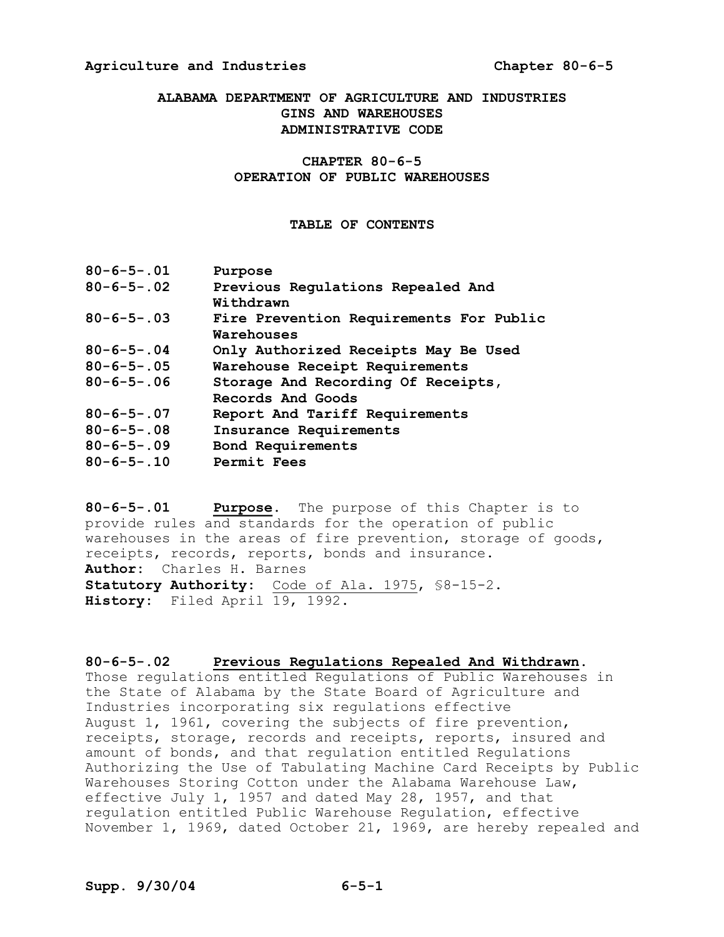# **ALABAMA DEPARTMENT OF AGRICULTURE AND INDUSTRIES GINS AND WAREHOUSES ADMINISTRATIVE CODE**

# CHAPTER 80-6-5 **OPERATION OF PUBLIC WAREHOUSES**

### **TABLE OF CONTENTS**

| $80 - 6 - 5 - 01$  | Purpose                                 |
|--------------------|-----------------------------------------|
| $80 - 6 - 5 - .02$ | Previous Regulations Repealed And       |
|                    | Withdrawn                               |
| $80 - 6 - 5 - 03$  | Fire Prevention Requirements For Public |
|                    | Warehouses                              |
| $80 - 6 - 5 - 04$  | Only Authorized Receipts May Be Used    |
| $80 - 6 - 5 - .05$ | Warehouse Receipt Requirements          |
| $80 - 6 - 5 - 06$  | Storage And Recording Of Receipts,      |
|                    | Records And Goods                       |
| $80 - 6 - 5 - 07$  | Report And Tariff Requirements          |
| $80 - 6 - 5 - 08$  | Insurance Requirements                  |
| $80 - 6 - 5 - 09$  | Bond Requirements                       |
| $80 - 6 - 5 - .10$ | Permit Fees                             |
|                    |                                         |

80-6-5-.01 **Purpose.** The purpose of this Chapter is to provide rules and standards for the operation of public warehouses in the areas of fire prevention, storage of goods, receipts, records, reports, bonds and insurance. **Author:** Charles H. Barnes Statutory Authority: Code of Ala. 1975, \$8-15-2. History: Filed April 19, 1992.

# **8065.02 Previous Regulations Repealed And Withdrawn.**

Those regulations entitled Regulations of Public Warehouses in the State of Alabama by the State Board of Agriculture and Industries incorporating six regulations effective August 1, 1961, covering the subjects of fire prevention, receipts, storage, records and receipts, reports, insured and amount of bonds, and that regulation entitled Regulations Authorizing the Use of Tabulating Machine Card Receipts by Public Warehouses Storing Cotton under the Alabama Warehouse Law, effective July 1, 1957 and dated May 28, 1957, and that regulation entitled Public Warehouse Regulation, effective November 1, 1969, dated October 21, 1969, are hereby repealed and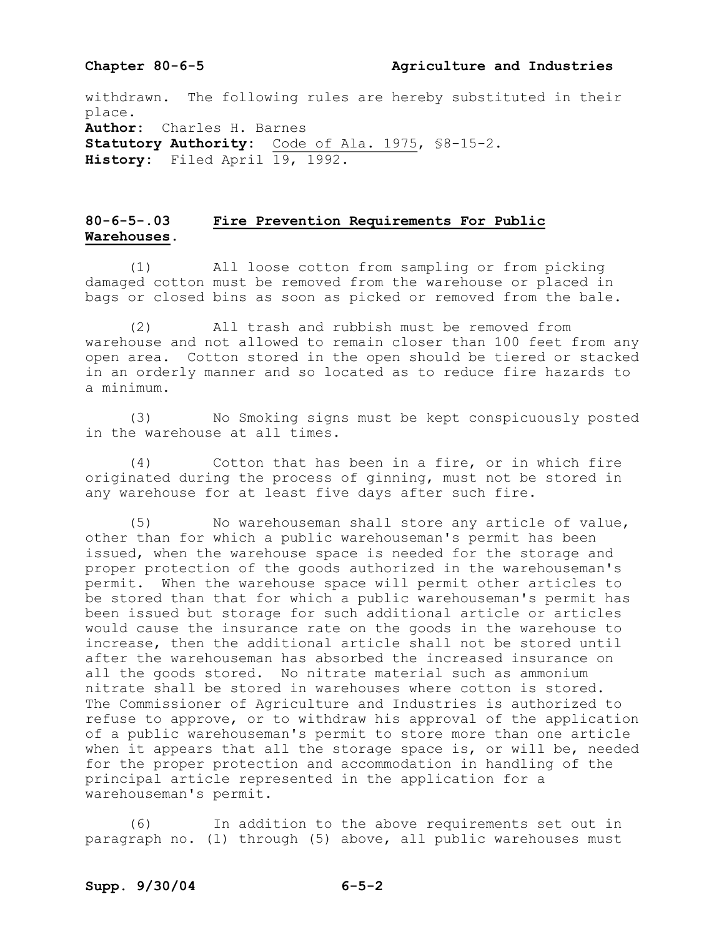### **Chapter 8065 Agriculture and Industries**

withdrawn. The following rules are hereby substituted in their place. **Author:** Charles H. Barnes Statutory Authority: Code of Ala. 1975, \$8-15-2. **History:** Filed April 19, 1992.

# **8065.03 Fire Prevention Requirements For Public Warehouses.**

(1) All loose cotton from sampling or from picking damaged cotton must be removed from the warehouse or placed in bags or closed bins as soon as picked or removed from the bale.

(2) All trash and rubbish must be removed from warehouse and not allowed to remain closer than 100 feet from any open area. Cotton stored in the open should be tiered or stacked in an orderly manner and so located as to reduce fire hazards to a minimum.

(3) No Smoking signs must be kept conspicuously posted in the warehouse at all times.

(4) Cotton that has been in a fire, or in which fire originated during the process of ginning, must not be stored in any warehouse for at least five days after such fire.

(5) No warehouseman shall store any article of value, other than for which a public warehouseman's permit has been issued, when the warehouse space is needed for the storage and proper protection of the goods authorized in the warehouseman's permit. When the warehouse space will permit other articles to be stored than that for which a public warehouseman's permit has been issued but storage for such additional article or articles would cause the insurance rate on the goods in the warehouse to increase, then the additional article shall not be stored until after the warehouseman has absorbed the increased insurance on all the goods stored. No nitrate material such as ammonium nitrate shall be stored in warehouses where cotton is stored. The Commissioner of Agriculture and Industries is authorized to refuse to approve, or to withdraw his approval of the application of a public warehouseman's permit to store more than one article when it appears that all the storage space is, or will be, needed for the proper protection and accommodation in handling of the principal article represented in the application for a warehouseman's permit.

(6) In addition to the above requirements set out in paragraph no. (1) through (5) above, all public warehouses must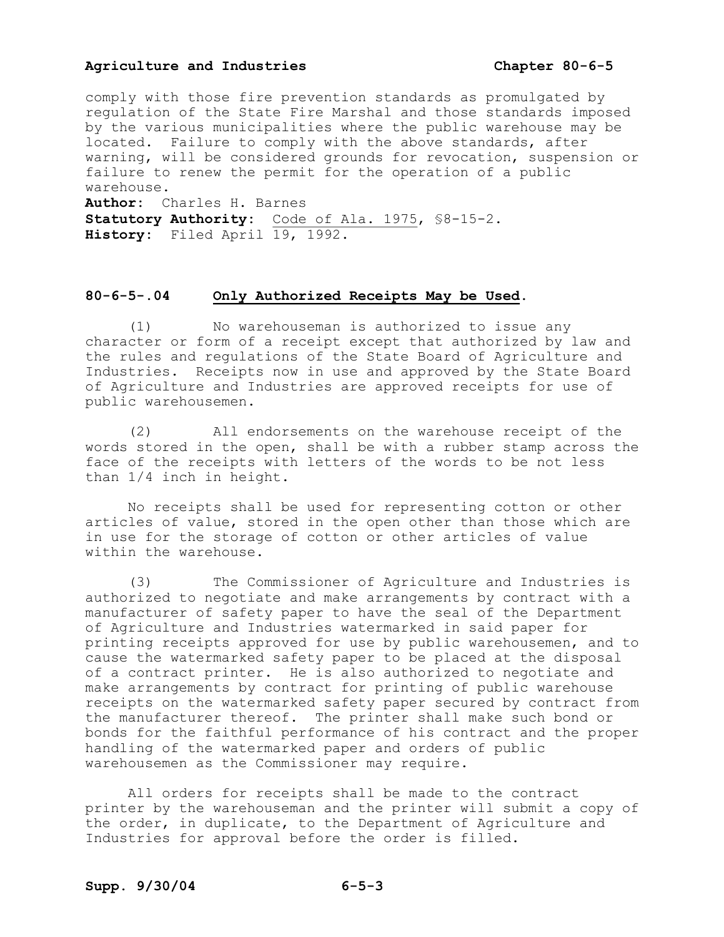comply with those fire prevention standards as promulgated by regulation of the State Fire Marshal and those standards imposed by the various municipalities where the public warehouse may be located. Failure to comply with the above standards, after warning, will be considered grounds for revocation, suspension or failure to renew the permit for the operation of a public warehouse. **Author:** Charles H. Barnes Statutory Authority: Code of Ala. 1975, \$8-15-2. **History:** Filed April 19, 1992.

# **8065.04 Only Authorized Receipts May be Used.**

(1) No warehouseman is authorized to issue any character or form of a receipt except that authorized by law and the rules and regulations of the State Board of Agriculture and Industries. Receipts now in use and approved by the State Board of Agriculture and Industries are approved receipts for use of public warehousemen.

(2) All endorsements on the warehouse receipt of the words stored in the open, shall be with a rubber stamp across the face of the receipts with letters of the words to be not less than 1/4 inch in height.

No receipts shall be used for representing cotton or other articles of value, stored in the open other than those which are in use for the storage of cotton or other articles of value within the warehouse.

(3) The Commissioner of Agriculture and Industries is authorized to negotiate and make arrangements by contract with a manufacturer of safety paper to have the seal of the Department of Agriculture and Industries watermarked in said paper for printing receipts approved for use by public warehousemen, and to cause the watermarked safety paper to be placed at the disposal of a contract printer. He is also authorized to negotiate and make arrangements by contract for printing of public warehouse receipts on the watermarked safety paper secured by contract from the manufacturer thereof. The printer shall make such bond or bonds for the faithful performance of his contract and the proper handling of the watermarked paper and orders of public warehousemen as the Commissioner may require.

All orders for receipts shall be made to the contract printer by the warehouseman and the printer will submit a copy of the order, in duplicate, to the Department of Agriculture and Industries for approval before the order is filled.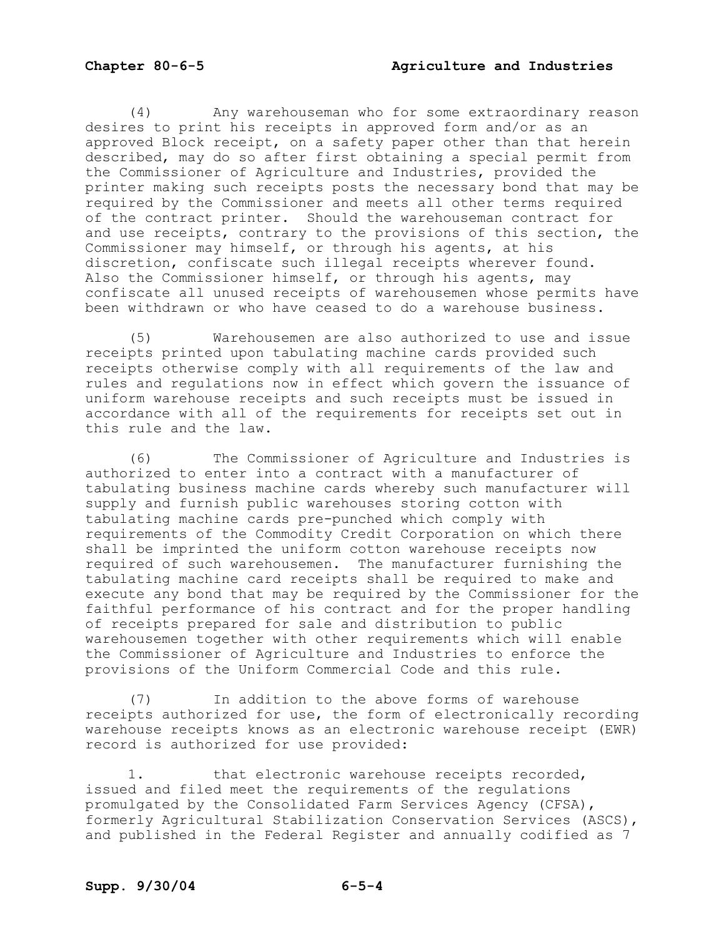(4) Any warehouseman who for some extraordinary reason desires to print his receipts in approved form and/or as an approved Block receipt, on a safety paper other than that herein described, may do so after first obtaining a special permit from the Commissioner of Agriculture and Industries, provided the printer making such receipts posts the necessary bond that may be required by the Commissioner and meets all other terms required of the contract printer. Should the warehouseman contract for and use receipts, contrary to the provisions of this section, the Commissioner may himself, or through his agents, at his discretion, confiscate such illegal receipts wherever found. Also the Commissioner himself, or through his agents, may confiscate all unused receipts of warehousemen whose permits have been withdrawn or who have ceased to do a warehouse business.

(5) Warehousemen are also authorized to use and issue receipts printed upon tabulating machine cards provided such receipts otherwise comply with all requirements of the law and rules and regulations now in effect which govern the issuance of uniform warehouse receipts and such receipts must be issued in accordance with all of the requirements for receipts set out in this rule and the law.

(6) The Commissioner of Agriculture and Industries is authorized to enter into a contract with a manufacturer of tabulating business machine cards whereby such manufacturer will supply and furnish public warehouses storing cotton with tabulating machine cards pre-punched which comply with requirements of the Commodity Credit Corporation on which there shall be imprinted the uniform cotton warehouse receipts now required of such warehousemen. The manufacturer furnishing the tabulating machine card receipts shall be required to make and execute any bond that may be required by the Commissioner for the faithful performance of his contract and for the proper handling of receipts prepared for sale and distribution to public warehousemen together with other requirements which will enable the Commissioner of Agriculture and Industries to enforce the provisions of the Uniform Commercial Code and this rule.

(7) In addition to the above forms of warehouse receipts authorized for use, the form of electronically recording warehouse receipts knows as an electronic warehouse receipt (EWR) record is authorized for use provided:

1. that electronic warehouse receipts recorded, issued and filed meet the requirements of the regulations promulgated by the Consolidated Farm Services Agency (CFSA), formerly Agricultural Stabilization Conservation Services (ASCS), and published in the Federal Register and annually codified as 7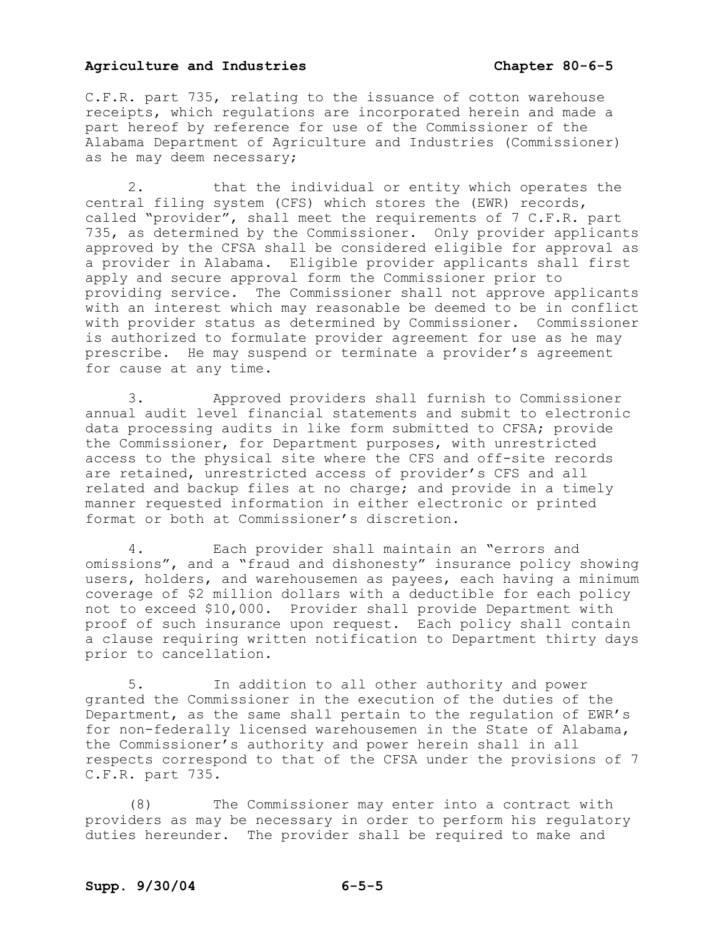C.F.R. part 735, relating to the issuance of cotton warehouse receipts, which regulations are incorporated herein and made a part hereof by reference for use of the Commissioner of the Alabama Department of Agriculture and Industries (Commissioner) as he may deem necessary;

2. that the individual or entity which operates the central filing system (CFS) which stores the (EWR) records, called "provider", shall meet the requirements of 7 C.F.R. part 735, as determined by the Commissioner. Only provider applicants approved by the CFSA shall be considered eligible for approval as a provider in Alabama. Eligible provider applicants shall first apply and secure approval form the Commissioner prior to providing service. The Commissioner shall not approve applicants with an interest which may reasonable be deemed to be in conflict with provider status as determined by Commissioner. Commissioner is authorized to formulate provider agreement for use as he may prescribe. He may suspend or terminate a provider's agreement for cause at any time.

3. Approved providers shall furnish to Commissioner annual audit level financial statements and submit to electronic data processing audits in like form submitted to CFSA; provide the Commissioner, for Department purposes, with unrestricted access to the physical site where the CFS and off-site records are retained, unrestricted access of provider's CFS and all related and backup files at no charge; and provide in a timely manner requested information in either electronic or printed format or both at Commissioner's discretion.

4. Each provider shall maintain an "errors and omissions", and a "fraud and dishonesty" insurance policy showing users, holders, and warehousemen as payees, each having a minimum coverage of \$2 million dollars with a deductible for each policy not to exceed \$10,000. Provider shall provide Department with proof of such insurance upon request. Each policy shall contain a clause requiring written notification to Department thirty days prior to cancellation.

5. In addition to all other authority and power granted the Commissioner in the execution of the duties of the Department, as the same shall pertain to the regulation of EWR's for non-federally licensed warehousemen in the State of Alabama, the Commissioner's authority and power herein shall in all respects correspond to that of the CFSA under the provisions of 7 C.F.R. part 735.

(8) The Commissioner may enter into a contract with providers as may be necessary in order to perform his regulatory duties hereunder. The provider shall be required to make and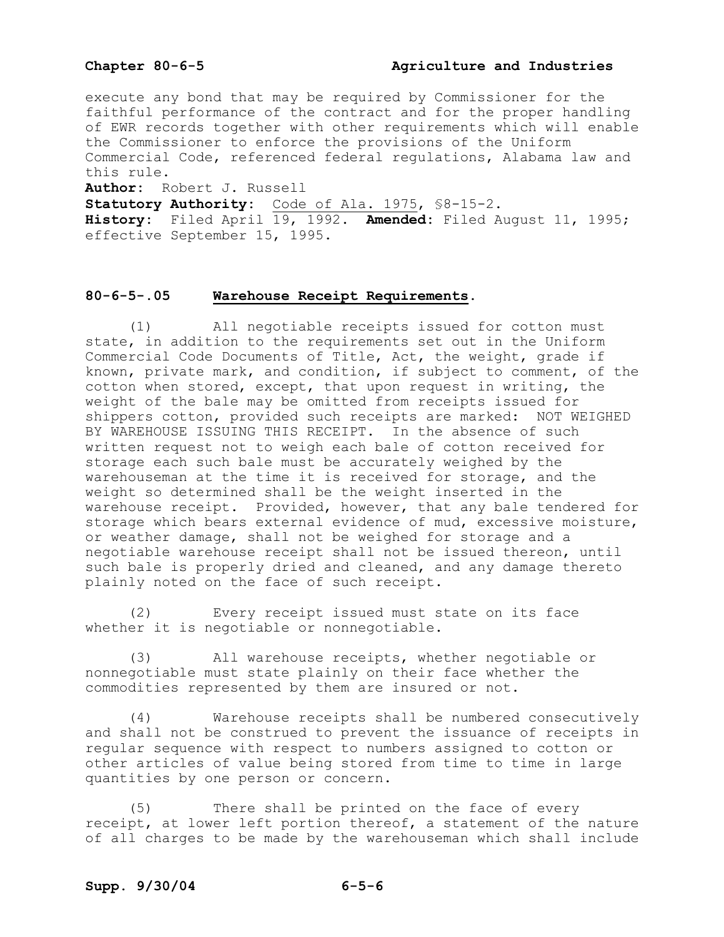execute any bond that may be required by Commissioner for the faithful performance of the contract and for the proper handling of EWR records together with other requirements which will enable the Commissioner to enforce the provisions of the Uniform Commercial Code, referenced federal regulations, Alabama law and this rule.

**Author:** Robert J. Russell

Statutory Authority: Code of Ala. 1975, \$8-15-2.

**History:** Filed April 19, 1992. **Amended:** Filed August 11, 1995; effective September 15, 1995.

# **8065.05 Warehouse Receipt Requirements.**

(1) All negotiable receipts issued for cotton must state, in addition to the requirements set out in the Uniform Commercial Code Documents of Title, Act, the weight, grade if known, private mark, and condition, if subject to comment, of the cotton when stored, except, that upon request in writing, the weight of the bale may be omitted from receipts issued for shippers cotton, provided such receipts are marked: NOT WEIGHED BY WAREHOUSE ISSUING THIS RECEIPT. In the absence of such written request not to weigh each bale of cotton received for storage each such bale must be accurately weighed by the warehouseman at the time it is received for storage, and the weight so determined shall be the weight inserted in the warehouse receipt. Provided, however, that any bale tendered for storage which bears external evidence of mud, excessive moisture, or weather damage, shall not be weighed for storage and a negotiable warehouse receipt shall not be issued thereon, until such bale is properly dried and cleaned, and any damage thereto plainly noted on the face of such receipt.

(2) Every receipt issued must state on its face whether it is negotiable or nonnegotiable.

(3) All warehouse receipts, whether negotiable or nonnegotiable must state plainly on their face whether the commodities represented by them are insured or not.

(4) Warehouse receipts shall be numbered consecutively and shall not be construed to prevent the issuance of receipts in regular sequence with respect to numbers assigned to cotton or other articles of value being stored from time to time in large quantities by one person or concern.

(5) There shall be printed on the face of every receipt, at lower left portion thereof, a statement of the nature of all charges to be made by the warehouseman which shall include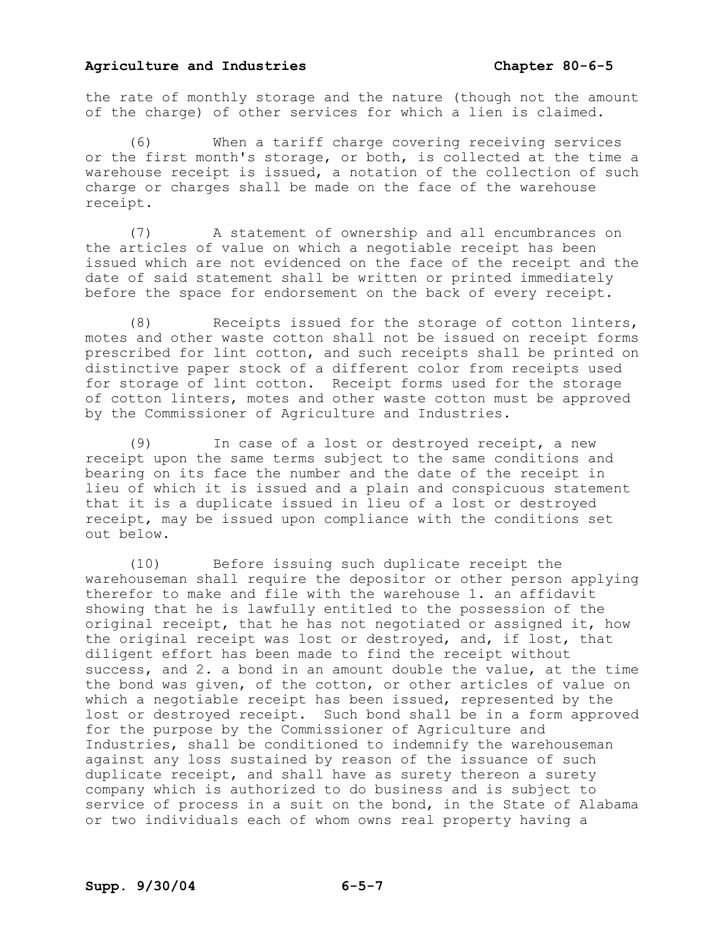the rate of monthly storage and the nature (though not the amount of the charge) of other services for which a lien is claimed.

(6) When a tariff charge covering receiving services or the first month's storage, or both, is collected at the time a warehouse receipt is issued, a notation of the collection of such charge or charges shall be made on the face of the warehouse receipt.

(7) A statement of ownership and all encumbrances on the articles of value on which a negotiable receipt has been issued which are not evidenced on the face of the receipt and the date of said statement shall be written or printed immediately before the space for endorsement on the back of every receipt.

(8) Receipts issued for the storage of cotton linters, motes and other waste cotton shall not be issued on receipt forms prescribed for lint cotton, and such receipts shall be printed on distinctive paper stock of a different color from receipts used for storage of lint cotton. Receipt forms used for the storage of cotton linters, motes and other waste cotton must be approved by the Commissioner of Agriculture and Industries.

(9) In case of a lost or destroyed receipt, a new receipt upon the same terms subject to the same conditions and bearing on its face the number and the date of the receipt in lieu of which it is issued and a plain and conspicuous statement that it is a duplicate issued in lieu of a lost or destroyed receipt, may be issued upon compliance with the conditions set out below.

(10) Before issuing such duplicate receipt the warehouseman shall require the depositor or other person applying therefor to make and file with the warehouse 1. an affidavit showing that he is lawfully entitled to the possession of the original receipt, that he has not negotiated or assigned it, how the original receipt was lost or destroyed, and, if lost, that diligent effort has been made to find the receipt without success, and 2. a bond in an amount double the value, at the time the bond was given, of the cotton, or other articles of value on which a negotiable receipt has been issued, represented by the lost or destroyed receipt. Such bond shall be in a form approved for the purpose by the Commissioner of Agriculture and Industries, shall be conditioned to indemnify the warehouseman against any loss sustained by reason of the issuance of such duplicate receipt, and shall have as surety thereon a surety company which is authorized to do business and is subject to service of process in a suit on the bond, in the State of Alabama or two individuals each of whom owns real property having a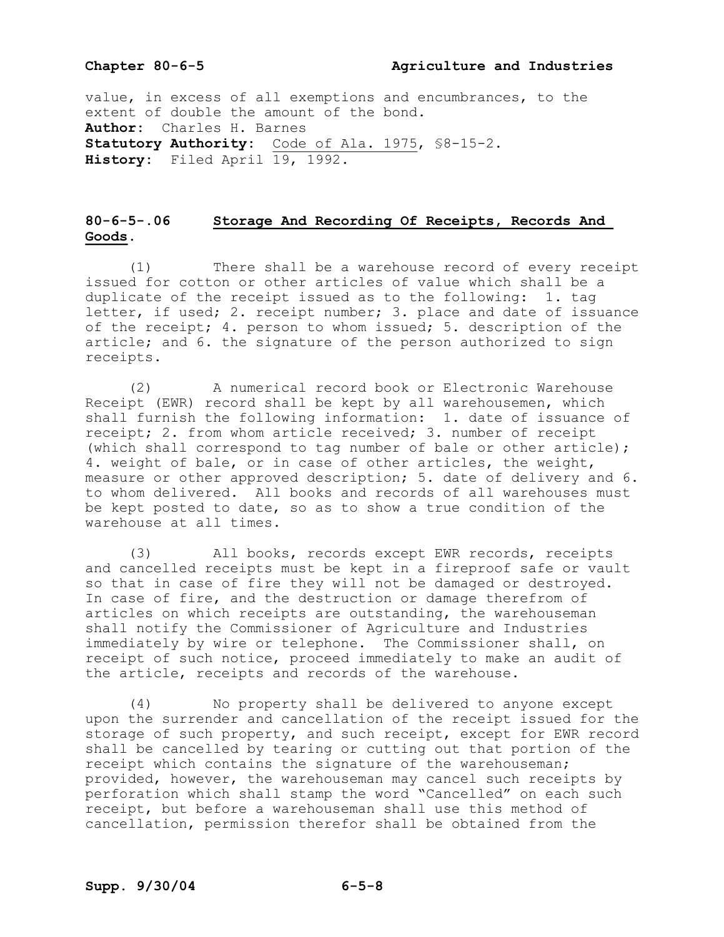value, in excess of all exemptions and encumbrances, to the extent of double the amount of the bond. **Author:** Charles H. Barnes Statutory Authority: Code of Ala. 1975, \$8-15-2. **History:** Filed April 19, 1992.

# **8065.06 Storage And Recording Of Receipts, Records And Goods.**

(1) There shall be a warehouse record of every receipt issued for cotton or other articles of value which shall be a duplicate of the receipt issued as to the following: 1. tag letter, if used; 2. receipt number; 3. place and date of issuance of the receipt; 4. person to whom issued; 5. description of the article; and 6. the signature of the person authorized to sign receipts.

(2) A numerical record book or Electronic Warehouse Receipt (EWR) record shall be kept by all warehousemen, which shall furnish the following information: 1. date of issuance of receipt; 2. from whom article received; 3. number of receipt (which shall correspond to tag number of bale or other article); 4. weight of bale, or in case of other articles, the weight, measure or other approved description; 5. date of delivery and 6. to whom delivered. All books and records of all warehouses must be kept posted to date, so as to show a true condition of the warehouse at all times.

(3) All books, records except EWR records, receipts and cancelled receipts must be kept in a fireproof safe or vault so that in case of fire they will not be damaged or destroyed. In case of fire, and the destruction or damage therefrom of articles on which receipts are outstanding, the warehouseman shall notify the Commissioner of Agriculture and Industries immediately by wire or telephone. The Commissioner shall, on receipt of such notice, proceed immediately to make an audit of the article, receipts and records of the warehouse.

(4) No property shall be delivered to anyone except upon the surrender and cancellation of the receipt issued for the storage of such property, and such receipt, except for EWR record shall be cancelled by tearing or cutting out that portion of the receipt which contains the signature of the warehouseman; provided, however, the warehouseman may cancel such receipts by perforation which shall stamp the word "Cancelled" on each such receipt, but before a warehouseman shall use this method of cancellation, permission therefor shall be obtained from the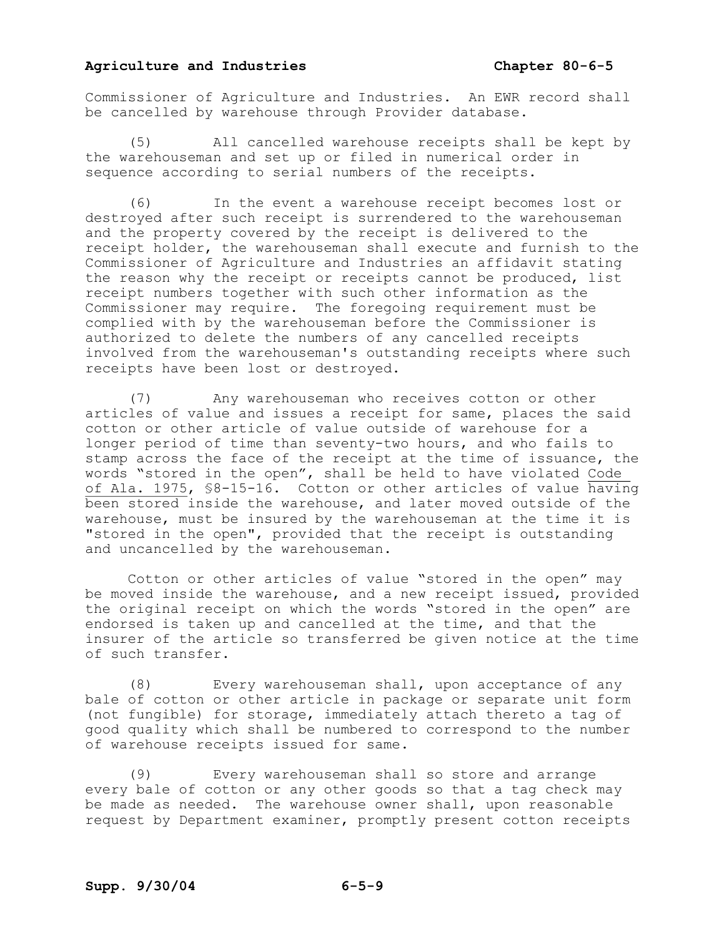Commissioner of Agriculture and Industries. An EWR record shall be cancelled by warehouse through Provider database.

(5) All cancelled warehouse receipts shall be kept by the warehouseman and set up or filed in numerical order in sequence according to serial numbers of the receipts.

(6) In the event a warehouse receipt becomes lost or destroyed after such receipt is surrendered to the warehouseman and the property covered by the receipt is delivered to the receipt holder, the warehouseman shall execute and furnish to the Commissioner of Agriculture and Industries an affidavit stating the reason why the receipt or receipts cannot be produced, list receipt numbers together with such other information as the Commissioner may require. The foregoing requirement must be complied with by the warehouseman before the Commissioner is authorized to delete the numbers of any cancelled receipts involved from the warehouseman's outstanding receipts where such receipts have been lost or destroyed.

(7) Any warehouseman who receives cotton or other articles of value and issues a receipt for same, places the said cotton or other article of value outside of warehouse for a longer period of time than seventy-two hours, and who fails to stamp across the face of the receipt at the time of issuance, the words "stored in the open", shall be held to have violated Code of Ala. 1975, §8-15-16. Cotton or other articles of value having been stored inside the warehouse, and later moved outside of the warehouse, must be insured by the warehouseman at the time it is "stored in the open", provided that the receipt is outstanding and uncancelled by the warehouseman.

Cotton or other articles of value "stored in the open" may be moved inside the warehouse, and a new receipt issued, provided the original receipt on which the words "stored in the open" are endorsed is taken up and cancelled at the time, and that the insurer of the article so transferred be given notice at the time of such transfer.

(8) Every warehouseman shall, upon acceptance of any bale of cotton or other article in package or separate unit form (not fungible) for storage, immediately attach thereto a tag of good quality which shall be numbered to correspond to the number of warehouse receipts issued for same.

(9) Every warehouseman shall so store and arrange every bale of cotton or any other goods so that a tag check may be made as needed. The warehouse owner shall, upon reasonable request by Department examiner, promptly present cotton receipts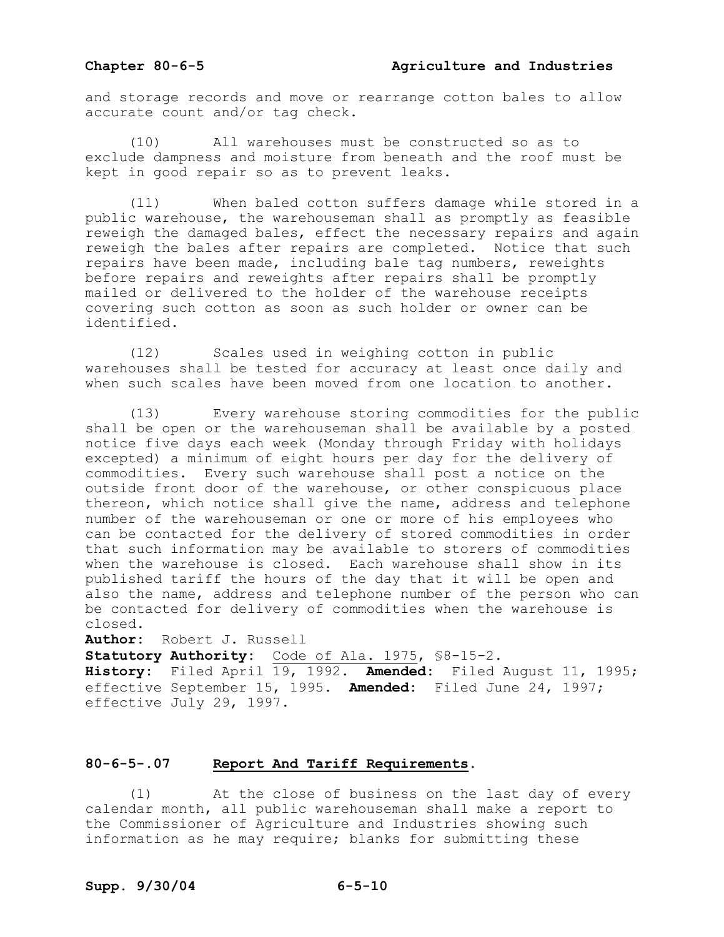and storage records and move or rearrange cotton bales to allow accurate count and/or tag check.

(10) All warehouses must be constructed so as to exclude dampness and moisture from beneath and the roof must be kept in good repair so as to prevent leaks.

(11) When baled cotton suffers damage while stored in a public warehouse, the warehouseman shall as promptly as feasible reweigh the damaged bales, effect the necessary repairs and again reweigh the bales after repairs are completed. Notice that such repairs have been made, including bale tag numbers, reweights before repairs and reweights after repairs shall be promptly mailed or delivered to the holder of the warehouse receipts covering such cotton as soon as such holder or owner can be identified.

(12) Scales used in weighing cotton in public warehouses shall be tested for accuracy at least once daily and when such scales have been moved from one location to another.

(13) Every warehouse storing commodities for the public shall be open or the warehouseman shall be available by a posted notice five days each week (Monday through Friday with holidays excepted) a minimum of eight hours per day for the delivery of commodities. Every such warehouse shall post a notice on the outside front door of the warehouse, or other conspicuous place thereon, which notice shall give the name, address and telephone number of the warehouseman or one or more of his employees who can be contacted for the delivery of stored commodities in order that such information may be available to storers of commodities when the warehouse is closed. Each warehouse shall show in its published tariff the hours of the day that it will be open and also the name, address and telephone number of the person who can be contacted for delivery of commodities when the warehouse is closed.

**Author:** Robert J. Russell

**Statutory Authority:** Code of Ala. 1975, \$8-15-2.

**History:** Filed April 19, 1992. **Amended:** Filed August 11, 1995; effective September 15, 1995. **Amended:** Filed June 24, 1997; effective July 29, 1997.

### **8065.07 Report And Tariff Requirements.**

(1) At the close of business on the last day of every calendar month, all public warehouseman shall make a report to the Commissioner of Agriculture and Industries showing such information as he may require; blanks for submitting these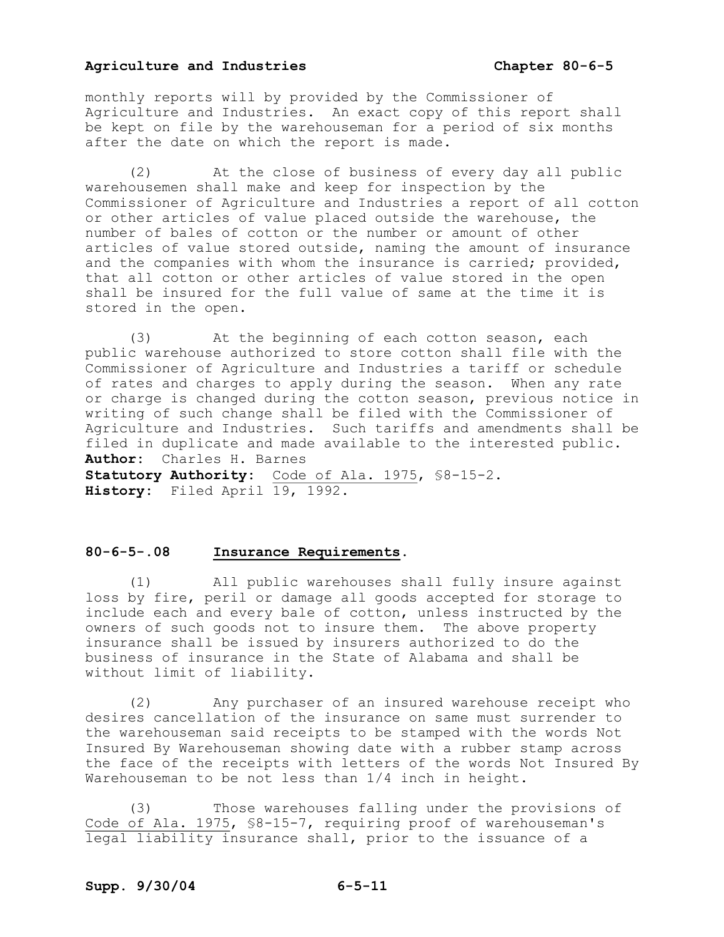monthly reports will by provided by the Commissioner of Agriculture and Industries. An exact copy of this report shall be kept on file by the warehouseman for a period of six months after the date on which the report is made.

(2) At the close of business of every day all public warehousemen shall make and keep for inspection by the Commissioner of Agriculture and Industries a report of all cotton or other articles of value placed outside the warehouse, the number of bales of cotton or the number or amount of other articles of value stored outside, naming the amount of insurance and the companies with whom the insurance is carried; provided, that all cotton or other articles of value stored in the open shall be insured for the full value of same at the time it is stored in the open.

(3) At the beginning of each cotton season, each public warehouse authorized to store cotton shall file with the Commissioner of Agriculture and Industries a tariff or schedule of rates and charges to apply during the season. When any rate or charge is changed during the cotton season, previous notice in writing of such change shall be filed with the Commissioner of Agriculture and Industries. Such tariffs and amendments shall be filed in duplicate and made available to the interested public. **Author:** Charles H. Barnes Statutory Authority: Code of Ala. 1975, \$8-15-2. **History:** Filed April 19, 1992.

# **8065.08 Insurance Requirements.**

(1) All public warehouses shall fully insure against loss by fire, peril or damage all goods accepted for storage to include each and every bale of cotton, unless instructed by the owners of such goods not to insure them. The above property insurance shall be issued by insurers authorized to do the business of insurance in the State of Alabama and shall be without limit of liability.

(2) Any purchaser of an insured warehouse receipt who desires cancellation of the insurance on same must surrender to the warehouseman said receipts to be stamped with the words Not Insured By Warehouseman showing date with a rubber stamp across the face of the receipts with letters of the words Not Insured By Warehouseman to be not less than 1/4 inch in height.

(3) Those warehouses falling under the provisions of Code of Ala. 1975, \$8-15-7, requiring proof of warehouseman's legal liability insurance shall, prior to the issuance of a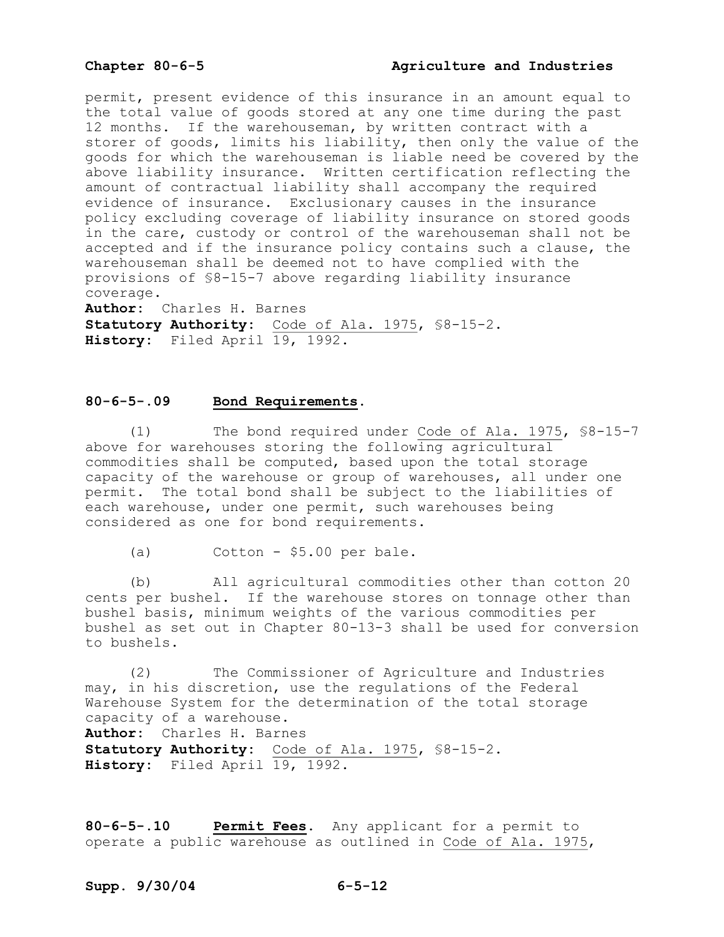# **Chapter 8065 Agriculture and Industries**

permit, present evidence of this insurance in an amount equal to the total value of goods stored at any one time during the past 12 months. If the warehouseman, by written contract with a storer of goods, limits his liability, then only the value of the goods for which the warehouseman is liable need be covered by the above liability insurance. Written certification reflecting the amount of contractual liability shall accompany the required evidence of insurance. Exclusionary causes in the insurance policy excluding coverage of liability insurance on stored goods in the care, custody or control of the warehouseman shall not be accepted and if the insurance policy contains such a clause, the warehouseman shall be deemed not to have complied with the provisions of \$8-15-7 above regarding liability insurance coverage.

**Author:** Charles H. Barnes Statutory Authority: Code of Ala. 1975, \$8-15-2. History: Filed April 19, 1992.

# **8065.09 Bond Requirements.**

 $(1)$  The bond required under Code of Ala. 1975, \$8-15-7 above for warehouses storing the following agricultural commodities shall be computed, based upon the total storage capacity of the warehouse or group of warehouses, all under one permit. The total bond shall be subject to the liabilities of each warehouse, under one permit, such warehouses being considered as one for bond requirements.

(a)  $\qquad \qquad$  Cotton - \$5.00 per bale.

(b) All agricultural commodities other than cotton 20 cents per bushel. If the warehouse stores on tonnage other than bushel basis, minimum weights of the various commodities per bushel as set out in Chapter 80-13-3 shall be used for conversion to bushels.

(2) The Commissioner of Agriculture and Industries may, in his discretion, use the regulations of the Federal Warehouse System for the determination of the total storage capacity of a warehouse. **Author:** Charles H. Barnes Statutory Authority: Code of Ala. 1975, \$8-15-2. **History:** Filed April 19, 1992.

**8065.10 Permit Fees.** Any applicant for a permit to operate a public warehouse as outlined in Code of Ala. 1975,